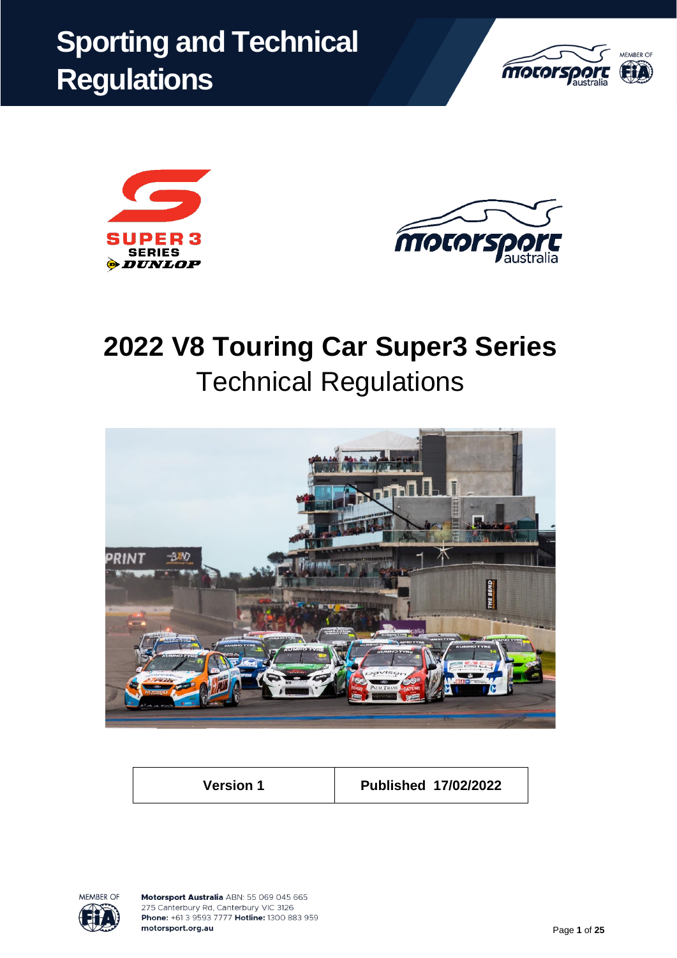# **Sporting and Technical Regulations**







# **2022 V8 Touring Car Super3 Series** Technical Regulations



**Version 1 Published 17/02/2022**

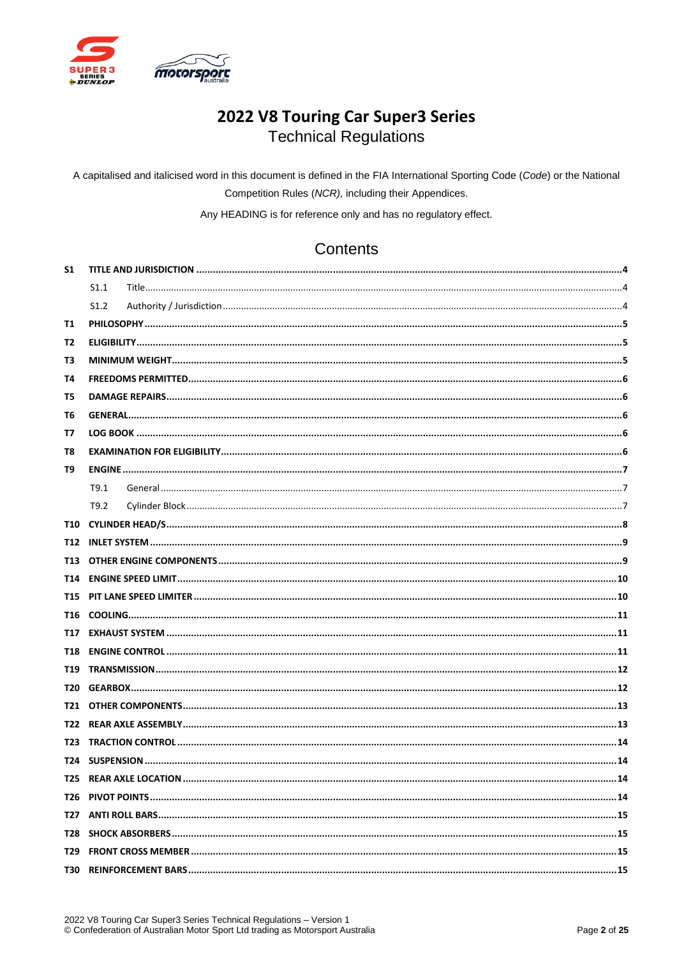

# 2022 V8 Touring Car Super3 Series **Technical Regulations**

A capitalised and italicised word in this document is defined in the FIA International Sporting Code (Code) or the National Competition Rules (NCR), including their Appendices.

Any HEADING is for reference only and has no regulatory effect.

# Contents

| S <sub>1</sub> |      |  |
|----------------|------|--|
|                | S1.1 |  |
|                | S1.2 |  |
| T1             |      |  |
| T2             |      |  |
| Т3             |      |  |
| Т4             |      |  |
| T5             |      |  |
| Т6             |      |  |
| T7             |      |  |
| T8             |      |  |
| Т9             |      |  |
|                | T9.1 |  |
|                | T9.2 |  |
|                |      |  |
|                |      |  |
| T13            |      |  |
|                |      |  |
|                |      |  |
| T16            |      |  |
|                |      |  |
|                |      |  |
| T19 I          |      |  |
|                |      |  |
|                |      |  |
| T22            |      |  |
| T23            |      |  |
|                |      |  |
|                |      |  |
|                |      |  |
| T27            |      |  |
| T28 I          |      |  |
|                |      |  |
|                |      |  |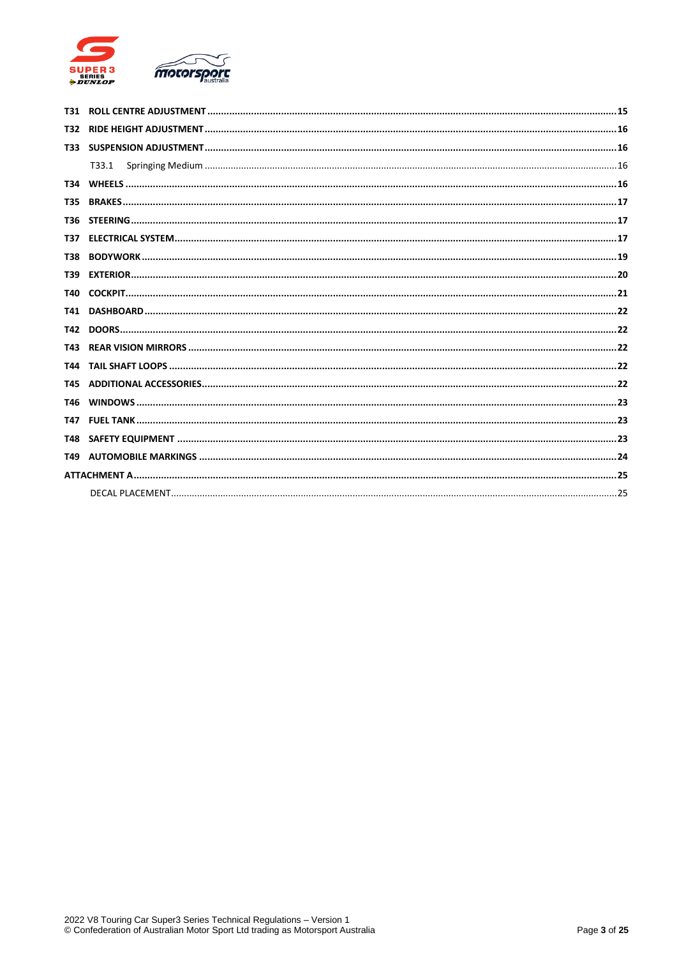

| T32.       |       |  |
|------------|-------|--|
|            |       |  |
|            | T33.1 |  |
|            |       |  |
|            |       |  |
|            |       |  |
| T37 I      |       |  |
| <b>T38</b> |       |  |
| T39        |       |  |
|            |       |  |
|            |       |  |
|            |       |  |
| T43        |       |  |
|            |       |  |
| T45        |       |  |
|            |       |  |
| T47        |       |  |
| <b>T48</b> |       |  |
|            |       |  |
|            |       |  |
|            |       |  |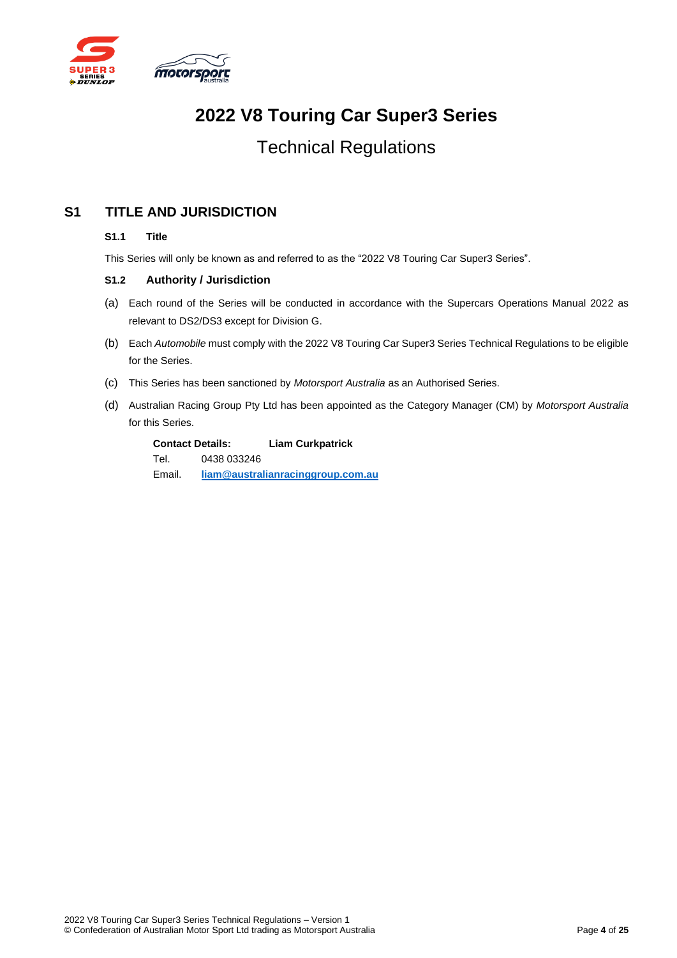

# **2022 V8 Touring Car Super3 Series**

# Technical Regulations

# <span id="page-3-1"></span><span id="page-3-0"></span>**S1 TITLE AND JURISDICTION**

#### **S1.1 Title**

This Series will only be known as and referred to as the "2022 V8 Touring Car Super3 Series".

#### <span id="page-3-2"></span>**S1.2 Authority / Jurisdiction**

- (a) Each round of the Series will be conducted in accordance with the Supercars Operations Manual 2022 as relevant to DS2/DS3 except for Division G.
- (b) Each *Automobile* must comply with the 2022 V8 Touring Car Super3 Series Technical Regulations to be eligible for the Series.
- (c) This Series has been sanctioned by *Motorsport Australia* as an Authorised Series.
- (d) Australian Racing Group Pty Ltd has been appointed as the Category Manager (CM) by *Motorsport Australia* for this Series.

| <b>Contact Details:</b> |             | <b>Liam Curkpatrick</b>           |
|-------------------------|-------------|-----------------------------------|
| Tel.                    | 0438 033246 |                                   |
| Email.                  |             | liam@australianracinggroup.com.au |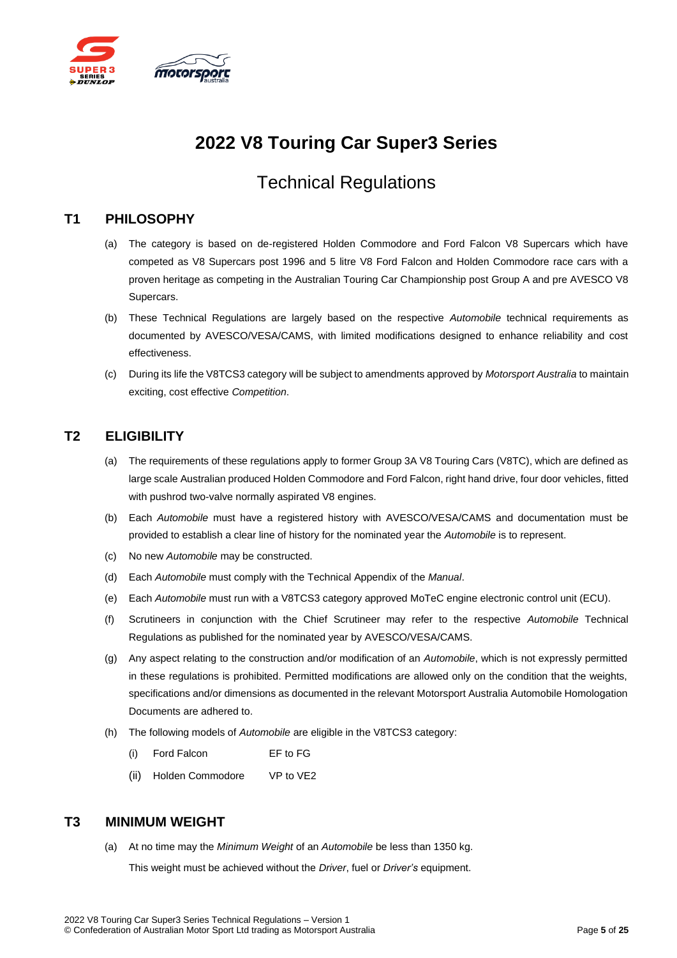

# **2022 V8 Touring Car Super3 Series**

# Technical Regulations

#### <span id="page-4-0"></span>**T1 PHILOSOPHY**

- (a) The category is based on de-registered Holden Commodore and Ford Falcon V8 Supercars which have competed as V8 Supercars post 1996 and 5 litre V8 Ford Falcon and Holden Commodore race cars with a proven heritage as competing in the Australian Touring Car Championship post Group A and pre AVESCO V8 Supercars.
- (b) These Technical Regulations are largely based on the respective *Automobile* technical requirements as documented by AVESCO/VESA/CAMS, with limited modifications designed to enhance reliability and cost effectiveness.
- (c) During its life the V8TCS3 category will be subject to amendments approved by *Motorsport Australia* to maintain exciting, cost effective *Competition*.

#### <span id="page-4-1"></span>**T2 ELIGIBILITY**

- (a) The requirements of these regulations apply to former Group 3A V8 Touring Cars (V8TC), which are defined as large scale Australian produced Holden Commodore and Ford Falcon, right hand drive, four door vehicles, fitted with pushrod two-valve normally aspirated V8 engines.
- (b) Each *Automobile* must have a registered history with AVESCO/VESA/CAMS and documentation must be provided to establish a clear line of history for the nominated year the *Automobile* is to represent.
- (c) No new *Automobile* may be constructed.
- (d) Each *Automobile* must comply with the Technical Appendix of the *Manual*.
- (e) Each *Automobile* must run with a V8TCS3 category approved MoTeC engine electronic control unit (ECU).
- (f) Scrutineers in conjunction with the Chief Scrutineer may refer to the respective *Automobile* Technical Regulations as published for the nominated year by AVESCO/VESA/CAMS.
- (g) Any aspect relating to the construction and/or modification of an *Automobile*, which is not expressly permitted in these regulations is prohibited. Permitted modifications are allowed only on the condition that the weights, specifications and/or dimensions as documented in the relevant Motorsport Australia Automobile Homologation Documents are adhered to.
- (h) The following models of *Automobile* are eligible in the V8TCS3 category:
	- (i) Ford Falcon EF to FG
	- (ii) Holden Commodore VP to VE2

#### <span id="page-4-2"></span>**T3 MINIMUM WEIGHT**

(a) At no time may the *Minimum Weight* of an *Automobile* be less than 1350 kg.

This weight must be achieved without the *Driver*, fuel or *Driver's* equipment.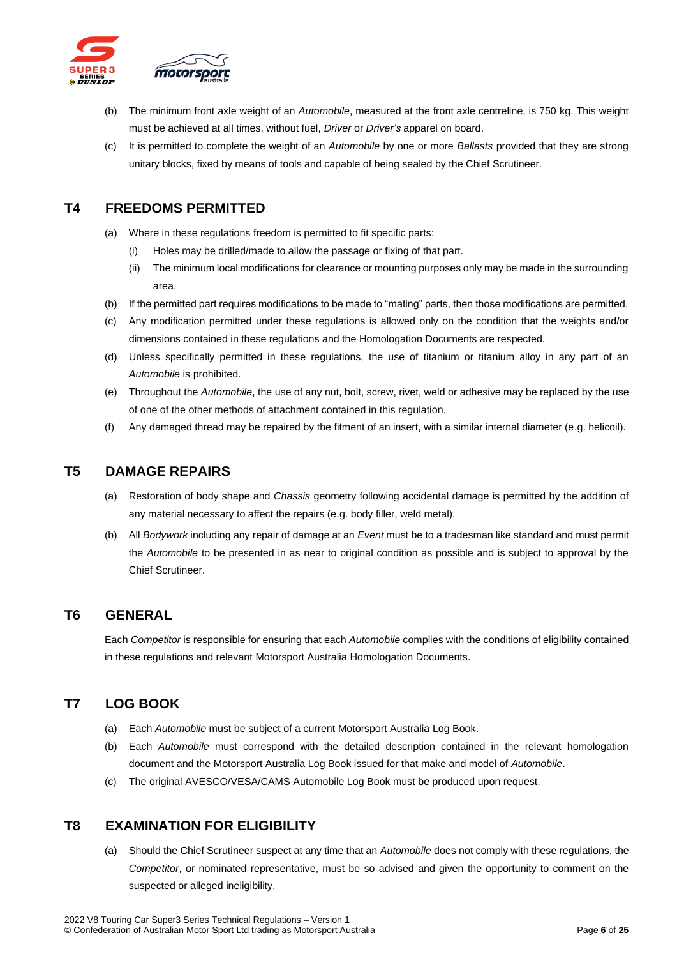

- (b) The minimum front axle weight of an *Automobile*, measured at the front axle centreline, is 750 kg. This weight must be achieved at all times, without fuel, *Driver* or *Driver's* apparel on board.
- (c) It is permitted to complete the weight of an *Automobile* by one or more *Ballasts* provided that they are strong unitary blocks, fixed by means of tools and capable of being sealed by the Chief Scrutineer.

#### <span id="page-5-0"></span>**T4 FREEDOMS PERMITTED**

- (a) Where in these regulations freedom is permitted to fit specific parts:
	- (i) Holes may be drilled/made to allow the passage or fixing of that part.
	- (ii) The minimum local modifications for clearance or mounting purposes only may be made in the surrounding area.
- (b) If the permitted part requires modifications to be made to "mating" parts, then those modifications are permitted.
- (c) Any modification permitted under these regulations is allowed only on the condition that the weights and/or dimensions contained in these regulations and the Homologation Documents are respected.
- (d) Unless specifically permitted in these regulations, the use of titanium or titanium alloy in any part of an *Automobile* is prohibited.
- (e) Throughout the *Automobile*, the use of any nut, bolt, screw, rivet, weld or adhesive may be replaced by the use of one of the other methods of attachment contained in this regulation.
- (f) Any damaged thread may be repaired by the fitment of an insert, with a similar internal diameter (e.g. helicoil).

#### <span id="page-5-1"></span>**T5 DAMAGE REPAIRS**

- (a) Restoration of body shape and *Chassis* geometry following accidental damage is permitted by the addition of any material necessary to affect the repairs (e.g. body filler, weld metal).
- (b) All *Bodywork* including any repair of damage at an *Event* must be to a tradesman like standard and must permit the *Automobile* to be presented in as near to original condition as possible and is subject to approval by the Chief Scrutineer.

#### <span id="page-5-2"></span>**T6 GENERAL**

Each *Competitor* is responsible for ensuring that each *Automobile* complies with the conditions of eligibility contained in these regulations and relevant Motorsport Australia Homologation Documents.

#### <span id="page-5-3"></span>**T7 LOG BOOK**

- (a) Each *Automobile* must be subject of a current Motorsport Australia Log Book.
- (b) Each *Automobile* must correspond with the detailed description contained in the relevant homologation document and the Motorsport Australia Log Book issued for that make and model of *Automobile*.
- (c) The original AVESCO/VESA/CAMS Automobile Log Book must be produced upon request.

#### <span id="page-5-4"></span>**T8 EXAMINATION FOR ELIGIBILITY**

(a) Should the Chief Scrutineer suspect at any time that an *Automobile* does not comply with these regulations, the *Competitor*, or nominated representative, must be so advised and given the opportunity to comment on the suspected or alleged ineligibility.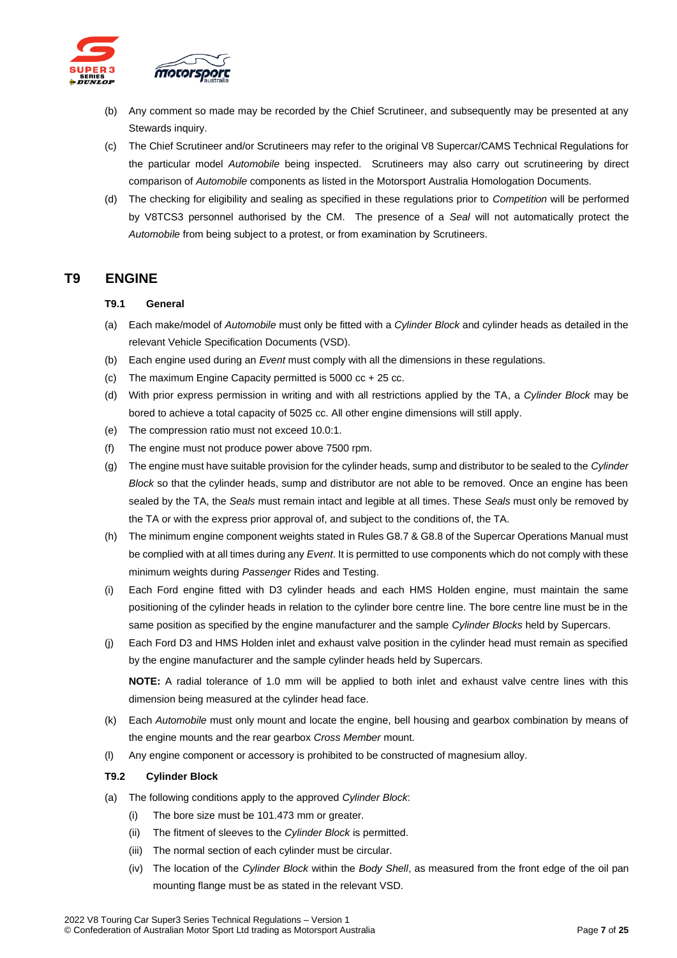

- (b) Any comment so made may be recorded by the Chief Scrutineer, and subsequently may be presented at any Stewards inquiry.
- (c) The Chief Scrutineer and/or Scrutineers may refer to the original V8 Supercar/CAMS Technical Regulations for the particular model *Automobile* being inspected. Scrutineers may also carry out scrutineering by direct comparison of *Automobile* components as listed in the Motorsport Australia Homologation Documents.
- (d) The checking for eligibility and sealing as specified in these regulations prior to *Competition* will be performed by V8TCS3 personnel authorised by the CM. The presence of a *Seal* will not automatically protect the *Automobile* from being subject to a protest, or from examination by Scrutineers.

#### <span id="page-6-1"></span><span id="page-6-0"></span>**T9 ENGINE**

#### **T9.1 General**

- (a) Each make/model of *Automobile* must only be fitted with a *Cylinder Block* and cylinder heads as detailed in the relevant Vehicle Specification Documents (VSD).
- (b) Each engine used during an *Event* must comply with all the dimensions in these regulations.
- (c) The maximum Engine Capacity permitted is 5000 cc + 25 cc.
- (d) With prior express permission in writing and with all restrictions applied by the TA, a *Cylinder Block* may be bored to achieve a total capacity of 5025 cc. All other engine dimensions will still apply.
- (e) The compression ratio must not exceed 10.0:1.
- (f) The engine must not produce power above 7500 rpm.
- (g) The engine must have suitable provision for the cylinder heads, sump and distributor to be sealed to the *Cylinder Block* so that the cylinder heads, sump and distributor are not able to be removed. Once an engine has been sealed by the TA, the *Seals* must remain intact and legible at all times. These *Seals* must only be removed by the TA or with the express prior approval of, and subject to the conditions of, the TA.
- (h) The minimum engine component weights stated in Rules G8.7 & G8.8 of the Supercar Operations Manual must be complied with at all times during any *Event*. It is permitted to use components which do not comply with these minimum weights during *Passenger* Rides and Testing.
- (i) Each Ford engine fitted with D3 cylinder heads and each HMS Holden engine, must maintain the same positioning of the cylinder heads in relation to the cylinder bore centre line. The bore centre line must be in the same position as specified by the engine manufacturer and the sample *Cylinder Blocks* held by Supercars.
- (j) Each Ford D3 and HMS Holden inlet and exhaust valve position in the cylinder head must remain as specified by the engine manufacturer and the sample cylinder heads held by Supercars.

**NOTE:** A radial tolerance of 1.0 mm will be applied to both inlet and exhaust valve centre lines with this dimension being measured at the cylinder head face.

- (k) Each *Automobile* must only mount and locate the engine, bell housing and gearbox combination by means of the engine mounts and the rear gearbox *Cross Member* mount.
- (l) Any engine component or accessory is prohibited to be constructed of magnesium alloy.

#### <span id="page-6-2"></span>**T9.2 Cylinder Block**

- (a) The following conditions apply to the approved *Cylinder Block*:
	- (i) The bore size must be 101.473 mm or greater.
	- (ii) The fitment of sleeves to the *Cylinder Block* is permitted.
	- (iii) The normal section of each cylinder must be circular.
	- (iv) The location of the *Cylinder Block* within the *Body Shell*, as measured from the front edge of the oil pan mounting flange must be as stated in the relevant VSD.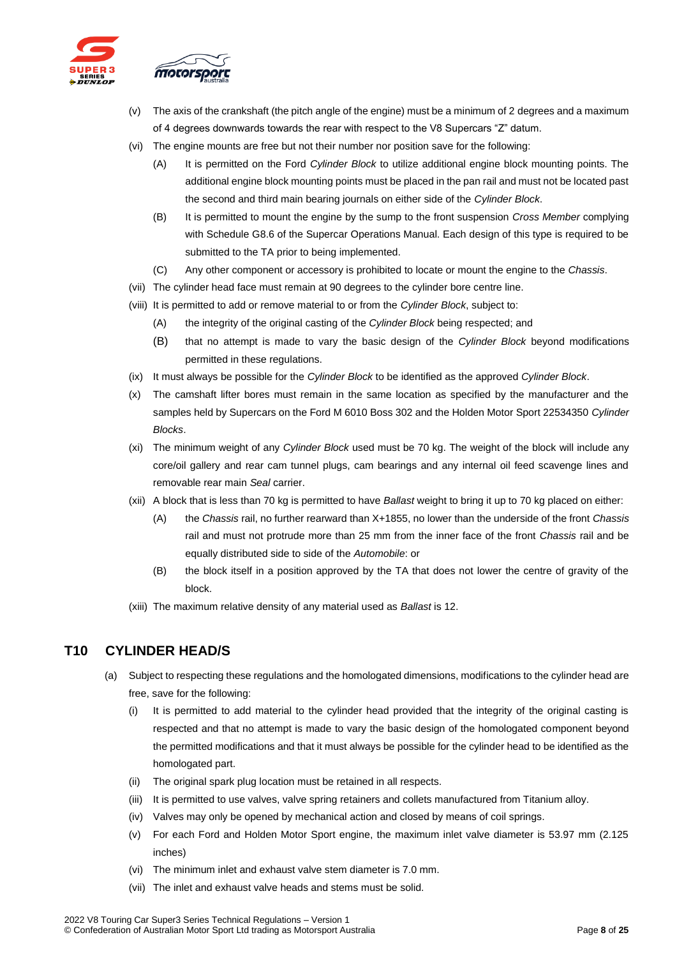

- (v) The axis of the crankshaft (the pitch angle of the engine) must be a minimum of 2 degrees and a maximum of 4 degrees downwards towards the rear with respect to the V8 Supercars "Z" datum.
- (vi) The engine mounts are free but not their number nor position save for the following:
	- (A) It is permitted on the Ford *Cylinder Block* to utilize additional engine block mounting points. The additional engine block mounting points must be placed in the pan rail and must not be located past the second and third main bearing journals on either side of the *Cylinder Block*.
	- (B) It is permitted to mount the engine by the sump to the front suspension *Cross Member* complying with Schedule G8.6 of the Supercar Operations Manual. Each design of this type is required to be submitted to the TA prior to being implemented.
	- (C) Any other component or accessory is prohibited to locate or mount the engine to the *Chassis*.
- (vii) The cylinder head face must remain at 90 degrees to the cylinder bore centre line.
- (viii) It is permitted to add or remove material to or from the *Cylinder Block*, subject to:
	- (A) the integrity of the original casting of the *Cylinder Block* being respected; and
	- (B) that no attempt is made to vary the basic design of the *Cylinder Block* beyond modifications permitted in these regulations.
- (ix) It must always be possible for the *Cylinder Block* to be identified as the approved *Cylinder Block*.
- (x) The camshaft lifter bores must remain in the same location as specified by the manufacturer and the samples held by Supercars on the Ford M 6010 Boss 302 and the Holden Motor Sport 22534350 *Cylinder Blocks*.
- (xi) The minimum weight of any *Cylinder Block* used must be 70 kg. The weight of the block will include any core/oil gallery and rear cam tunnel plugs, cam bearings and any internal oil feed scavenge lines and removable rear main *Seal* carrier.
- (xii) A block that is less than 70 kg is permitted to have *Ballast* weight to bring it up to 70 kg placed on either:
	- (A) the *Chassis* rail, no further rearward than X+1855, no lower than the underside of the front *Chassis* rail and must not protrude more than 25 mm from the inner face of the front *Chassis* rail and be equally distributed side to side of the *Automobile*: or
	- (B) the block itself in a position approved by the TA that does not lower the centre of gravity of the block.
- (xiii) The maximum relative density of any material used as *Ballast* is 12.

#### <span id="page-7-0"></span>**T10 CYLINDER HEAD/S**

- (a) Subject to respecting these regulations and the homologated dimensions, modifications to the cylinder head are free, save for the following:
	- (i) It is permitted to add material to the cylinder head provided that the integrity of the original casting is respected and that no attempt is made to vary the basic design of the homologated component beyond the permitted modifications and that it must always be possible for the cylinder head to be identified as the homologated part.
	- (ii) The original spark plug location must be retained in all respects.
	- (iii) It is permitted to use valves, valve spring retainers and collets manufactured from Titanium alloy.
	- (iv) Valves may only be opened by mechanical action and closed by means of coil springs.
	- (v) For each Ford and Holden Motor Sport engine, the maximum inlet valve diameter is 53.97 mm (2.125 inches)
	- (vi) The minimum inlet and exhaust valve stem diameter is 7.0 mm.
	- (vii) The inlet and exhaust valve heads and stems must be solid.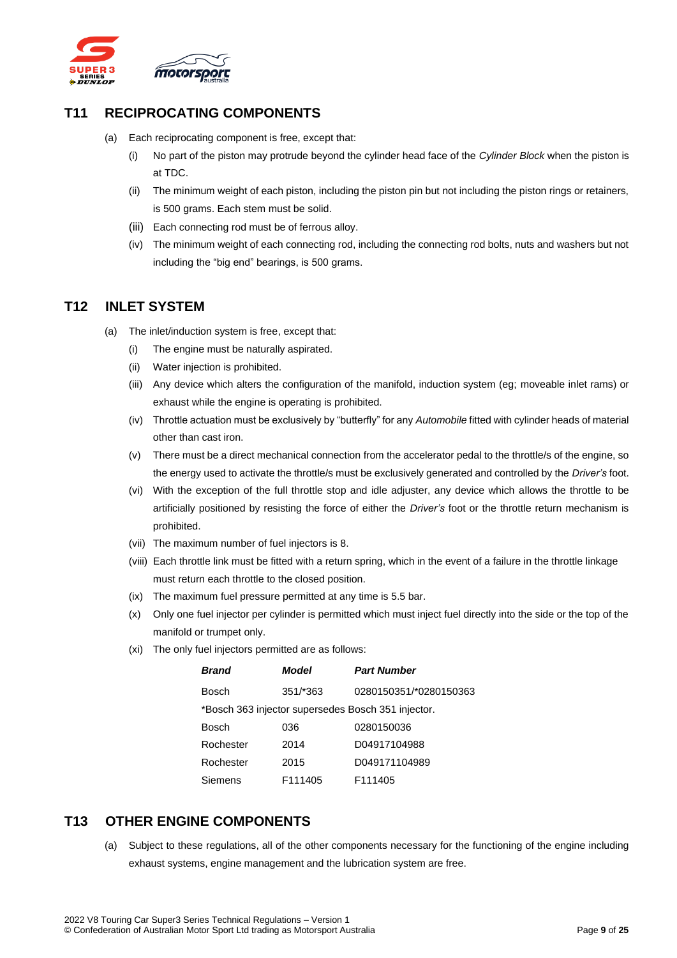

# **T11 RECIPROCATING COMPONENTS**

- (a) Each reciprocating component is free, except that:
	- (i) No part of the piston may protrude beyond the cylinder head face of the *Cylinder Block* when the piston is at TDC.
	- (ii) The minimum weight of each piston, including the piston pin but not including the piston rings or retainers, is 500 grams. Each stem must be solid.
	- (iii) Each connecting rod must be of ferrous alloy.
	- (iv) The minimum weight of each connecting rod, including the connecting rod bolts, nuts and washers but not including the "big end" bearings, is 500 grams.

# <span id="page-8-0"></span>**T12 INLET SYSTEM**

- (a) The inlet/induction system is free, except that:
	- (i) The engine must be naturally aspirated.
	- (ii) Water injection is prohibited.
	- (iii) Any device which alters the configuration of the manifold, induction system (eg; moveable inlet rams) or exhaust while the engine is operating is prohibited.
	- (iv) Throttle actuation must be exclusively by "butterfly" for any *Automobile* fitted with cylinder heads of material other than cast iron.
	- (v) There must be a direct mechanical connection from the accelerator pedal to the throttle/s of the engine, so the energy used to activate the throttle/s must be exclusively generated and controlled by the *Driver's* foot.
	- (vi) With the exception of the full throttle stop and idle adjuster, any device which allows the throttle to be artificially positioned by resisting the force of either the *Driver's* foot or the throttle return mechanism is prohibited.
	- (vii) The maximum number of fuel injectors is 8.
	- (viii) Each throttle link must be fitted with a return spring, which in the event of a failure in the throttle linkage must return each throttle to the closed position.
	- (ix) The maximum fuel pressure permitted at any time is 5.5 bar.
	- (x) Only one fuel injector per cylinder is permitted which must inject fuel directly into the side or the top of the manifold or trumpet only.
	- (xi) The only fuel injectors permitted are as follows:

| <b>Brand</b>                                       | Model               | <b>Part Number</b>     |
|----------------------------------------------------|---------------------|------------------------|
| Bosch                                              | 351/*363            | 0280150351/*0280150363 |
| *Bosch 363 injector supersedes Bosch 351 injector. |                     |                        |
| Bosch                                              | 036                 | 0280150036             |
| Rochester                                          | 2014                | D04917104988           |
| Rochester                                          | 2015                | D049171104989          |
| Siemens                                            | F <sub>111405</sub> | F <sub>111405</sub>    |

#### <span id="page-8-1"></span>**T13 OTHER ENGINE COMPONENTS**

(a) Subject to these regulations, all of the other components necessary for the functioning of the engine including exhaust systems, engine management and the lubrication system are free.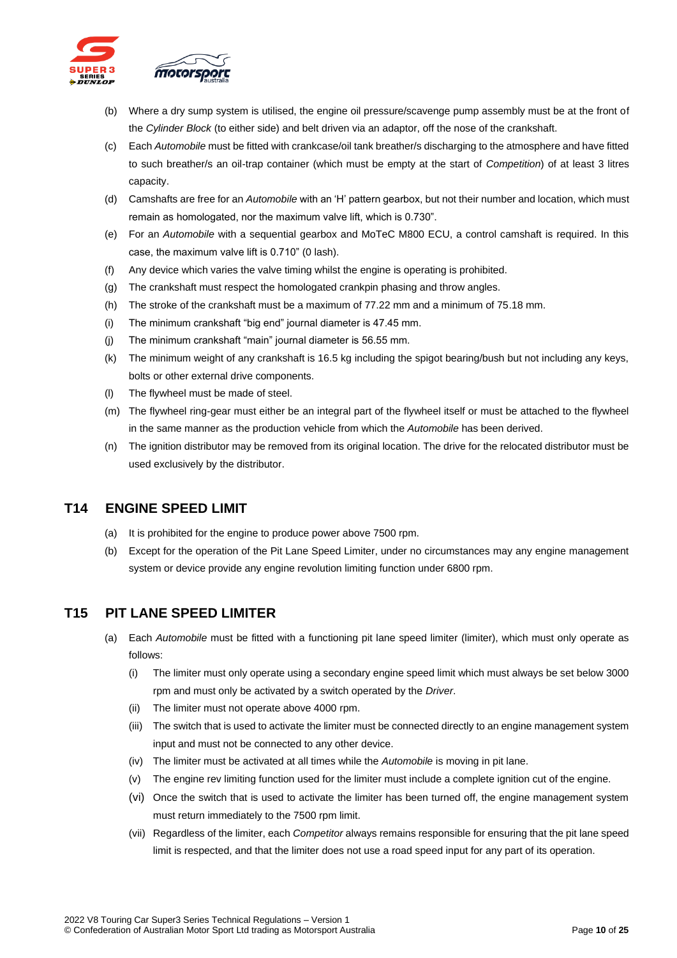

- (b) Where a dry sump system is utilised, the engine oil pressure/scavenge pump assembly must be at the front of the *Cylinder Block* (to either side) and belt driven via an adaptor, off the nose of the crankshaft.
- (c) Each *Automobile* must be fitted with crankcase/oil tank breather/s discharging to the atmosphere and have fitted to such breather/s an oil-trap container (which must be empty at the start of *Competition*) of at least 3 litres capacity.
- (d) Camshafts are free for an *Automobile* with an 'H' pattern gearbox, but not their number and location, which must remain as homologated, nor the maximum valve lift, which is 0.730".
- (e) For an *Automobile* with a sequential gearbox and MoTeC M800 ECU, a control camshaft is required. In this case, the maximum valve lift is 0.710" (0 lash).
- (f) Any device which varies the valve timing whilst the engine is operating is prohibited.
- (g) The crankshaft must respect the homologated crankpin phasing and throw angles.
- (h) The stroke of the crankshaft must be a maximum of 77.22 mm and a minimum of 75.18 mm.
- (i) The minimum crankshaft "big end" journal diameter is 47.45 mm.
- (j) The minimum crankshaft "main" journal diameter is 56.55 mm.
- (k) The minimum weight of any crankshaft is 16.5 kg including the spigot bearing/bush but not including any keys, bolts or other external drive components.
- (l) The flywheel must be made of steel.
- (m) The flywheel ring-gear must either be an integral part of the flywheel itself or must be attached to the flywheel in the same manner as the production vehicle from which the *Automobile* has been derived.
- (n) The ignition distributor may be removed from its original location. The drive for the relocated distributor must be used exclusively by the distributor.

#### <span id="page-9-0"></span>**T14 ENGINE SPEED LIMIT**

- (a) It is prohibited for the engine to produce power above 7500 rpm.
- (b) Except for the operation of the Pit Lane Speed Limiter, under no circumstances may any engine management system or device provide any engine revolution limiting function under 6800 rpm.

#### <span id="page-9-1"></span>**T15 PIT LANE SPEED LIMITER**

- (a) Each *Automobile* must be fitted with a functioning pit lane speed limiter (limiter), which must only operate as follows:
	- (i) The limiter must only operate using a secondary engine speed limit which must always be set below 3000 rpm and must only be activated by a switch operated by the *Driver*.
	- (ii) The limiter must not operate above 4000 rpm.
	- (iii) The switch that is used to activate the limiter must be connected directly to an engine management system input and must not be connected to any other device.
	- (iv) The limiter must be activated at all times while the *Automobile* is moving in pit lane.
	- (v) The engine rev limiting function used for the limiter must include a complete ignition cut of the engine.
	- (vi) Once the switch that is used to activate the limiter has been turned off, the engine management system must return immediately to the 7500 rpm limit.
	- (vii) Regardless of the limiter, each *Competitor* always remains responsible for ensuring that the pit lane speed limit is respected, and that the limiter does not use a road speed input for any part of its operation.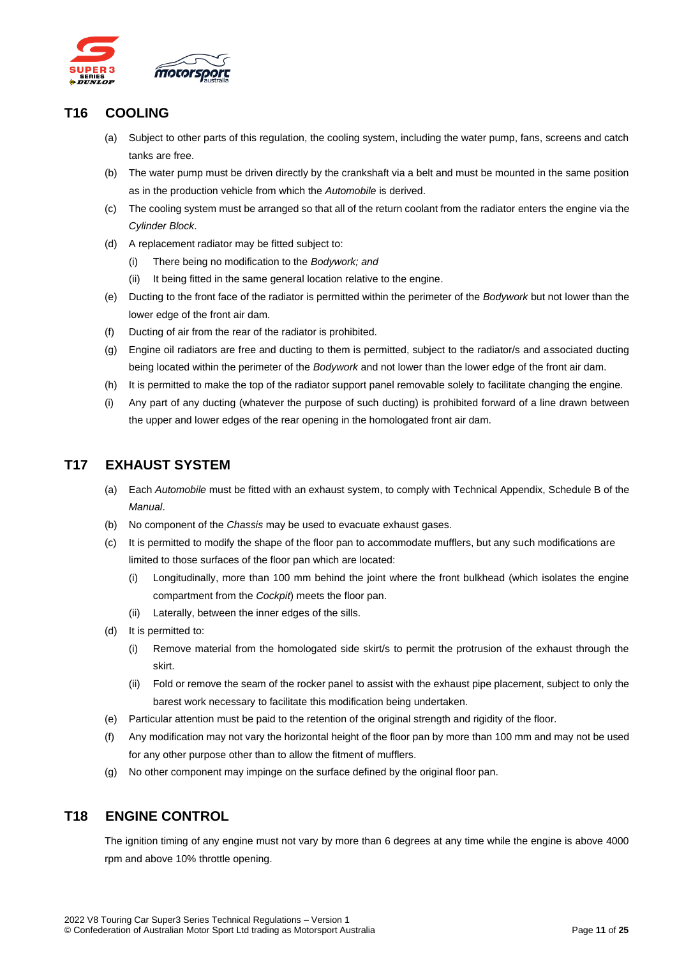

# <span id="page-10-0"></span>**T16 COOLING**

- (a) Subject to other parts of this regulation, the cooling system, including the water pump, fans, screens and catch tanks are free.
- (b) The water pump must be driven directly by the crankshaft via a belt and must be mounted in the same position as in the production vehicle from which the *Automobile* is derived.
- (c) The cooling system must be arranged so that all of the return coolant from the radiator enters the engine via the *Cylinder Block*.
- (d) A replacement radiator may be fitted subject to:
	- (i) There being no modification to the *Bodywork; and*
	- (ii) It being fitted in the same general location relative to the engine.
- (e) Ducting to the front face of the radiator is permitted within the perimeter of the *Bodywork* but not lower than the lower edge of the front air dam.
- (f) Ducting of air from the rear of the radiator is prohibited.
- (g) Engine oil radiators are free and ducting to them is permitted, subject to the radiator/s and associated ducting being located within the perimeter of the *Bodywork* and not lower than the lower edge of the front air dam.
- (h) It is permitted to make the top of the radiator support panel removable solely to facilitate changing the engine.
- (i) Any part of any ducting (whatever the purpose of such ducting) is prohibited forward of a line drawn between the upper and lower edges of the rear opening in the homologated front air dam.

# <span id="page-10-1"></span>**T17 EXHAUST SYSTEM**

- (a) Each *Automobile* must be fitted with an exhaust system, to comply with Technical Appendix, Schedule B of the *Manual*.
- (b) No component of the *Chassis* may be used to evacuate exhaust gases.
- (c) It is permitted to modify the shape of the floor pan to accommodate mufflers, but any such modifications are limited to those surfaces of the floor pan which are located:
	- (i) Longitudinally, more than 100 mm behind the joint where the front bulkhead (which isolates the engine compartment from the *Cockpit*) meets the floor pan.
	- (ii) Laterally, between the inner edges of the sills.
- (d) It is permitted to:
	- (i) Remove material from the homologated side skirt/s to permit the protrusion of the exhaust through the skirt.
	- (ii) Fold or remove the seam of the rocker panel to assist with the exhaust pipe placement, subject to only the barest work necessary to facilitate this modification being undertaken.
- (e) Particular attention must be paid to the retention of the original strength and rigidity of the floor.
- (f) Any modification may not vary the horizontal height of the floor pan by more than 100 mm and may not be used for any other purpose other than to allow the fitment of mufflers.
- (g) No other component may impinge on the surface defined by the original floor pan.

#### <span id="page-10-2"></span>**T18 ENGINE CONTROL**

The ignition timing of any engine must not vary by more than 6 degrees at any time while the engine is above 4000 rpm and above 10% throttle opening.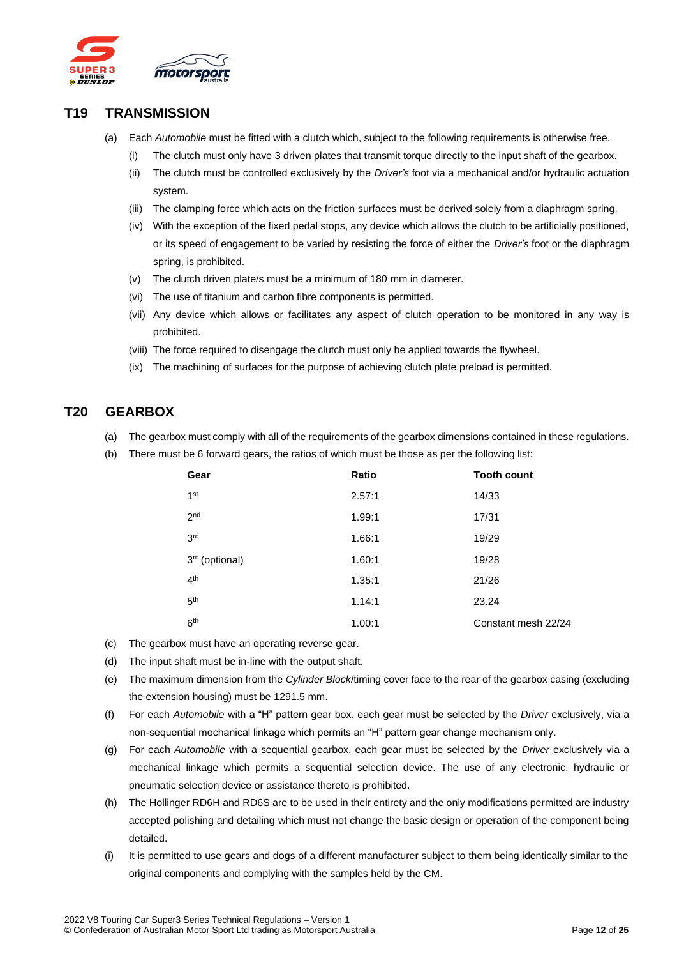

#### <span id="page-11-0"></span>**T19 TRANSMISSION**

- (a) Each *Automobile* must be fitted with a clutch which, subject to the following requirements is otherwise free.
	- (i) The clutch must only have 3 driven plates that transmit torque directly to the input shaft of the gearbox.
	- (ii) The clutch must be controlled exclusively by the *Driver's* foot via a mechanical and/or hydraulic actuation system.
	- (iii) The clamping force which acts on the friction surfaces must be derived solely from a diaphragm spring.
	- (iv) With the exception of the fixed pedal stops, any device which allows the clutch to be artificially positioned, or its speed of engagement to be varied by resisting the force of either the *Driver's* foot or the diaphragm spring, is prohibited.
	- (v) The clutch driven plate/s must be a minimum of 180 mm in diameter.
	- (vi) The use of titanium and carbon fibre components is permitted.
	- (vii) Any device which allows or facilitates any aspect of clutch operation to be monitored in any way is prohibited.
	- (viii) The force required to disengage the clutch must only be applied towards the flywheel.
	- (ix) The machining of surfaces for the purpose of achieving clutch plate preload is permitted.

# <span id="page-11-1"></span>**T20 GEARBOX**

- (a) The gearbox must comply with all of the requirements of the gearbox dimensions contained in these regulations.
- (b) There must be 6 forward gears, the ratios of which must be those as per the following list:

| Gear                       | Ratio  | <b>Tooth count</b>  |
|----------------------------|--------|---------------------|
| 1 <sup>st</sup>            | 2.57:1 | 14/33               |
| 2 <sub>nd</sub>            | 1.99:1 | 17/31               |
| 3 <sup>rd</sup>            | 1.66:1 | 19/29               |
| 3 <sup>rd</sup> (optional) | 1.60:1 | 19/28               |
| 4 <sup>th</sup>            | 1.35:1 | 21/26               |
| 5 <sup>th</sup>            | 1.14:1 | 23.24               |
| 6 <sup>th</sup>            | 1.00:1 | Constant mesh 22/24 |

- (c) The gearbox must have an operating reverse gear.
- (d) The input shaft must be in-line with the output shaft.
- (e) The maximum dimension from the *Cylinder Block*/timing cover face to the rear of the gearbox casing (excluding the extension housing) must be 1291.5 mm.
- (f) For each *Automobile* with a "H" pattern gear box, each gear must be selected by the *Driver* exclusively, via a non-sequential mechanical linkage which permits an "H" pattern gear change mechanism only.
- (g) For each *Automobile* with a sequential gearbox, each gear must be selected by the *Driver* exclusively via a mechanical linkage which permits a sequential selection device. The use of any electronic, hydraulic or pneumatic selection device or assistance thereto is prohibited.
- (h) The Hollinger RD6H and RD6S are to be used in their entirety and the only modifications permitted are industry accepted polishing and detailing which must not change the basic design or operation of the component being detailed.
- (i) It is permitted to use gears and dogs of a different manufacturer subject to them being identically similar to the original components and complying with the samples held by the CM.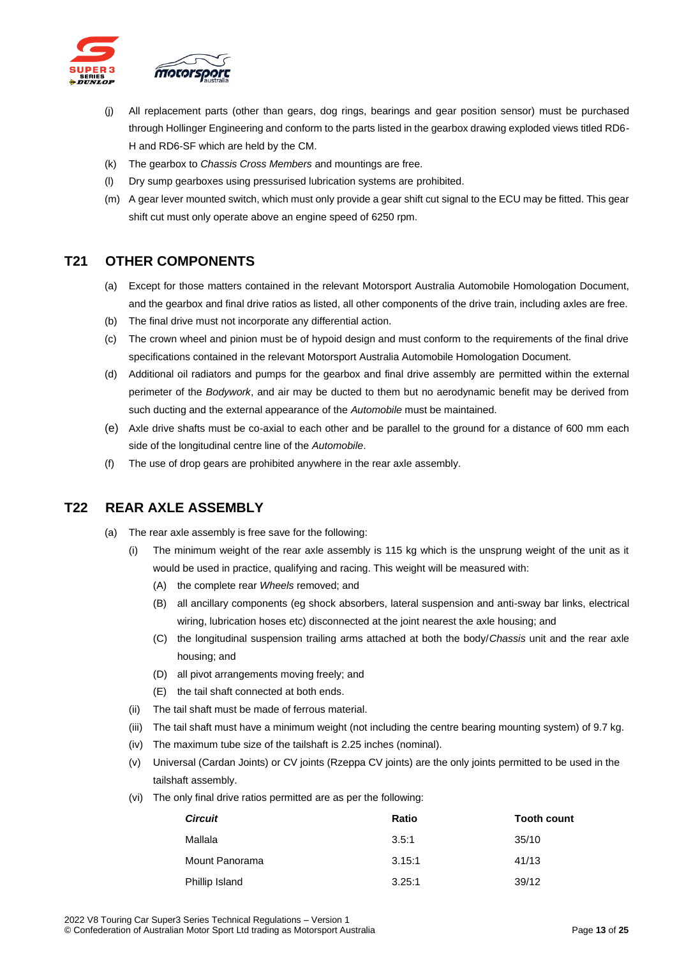

- (j) All replacement parts (other than gears, dog rings, bearings and gear position sensor) must be purchased through Hollinger Engineering and conform to the parts listed in the gearbox drawing exploded views titled RD6- H and RD6-SF which are held by the CM.
- (k) The gearbox to *Chassis Cross Members* and mountings are free.
- (l) Dry sump gearboxes using pressurised lubrication systems are prohibited.
- (m) A gear lever mounted switch, which must only provide a gear shift cut signal to the ECU may be fitted. This gear shift cut must only operate above an engine speed of 6250 rpm.

# <span id="page-12-0"></span>**T21 OTHER COMPONENTS**

- (a) Except for those matters contained in the relevant Motorsport Australia Automobile Homologation Document, and the gearbox and final drive ratios as listed, all other components of the drive train, including axles are free.
- (b) The final drive must not incorporate any differential action.
- (c) The crown wheel and pinion must be of hypoid design and must conform to the requirements of the final drive specifications contained in the relevant Motorsport Australia Automobile Homologation Document.
- (d) Additional oil radiators and pumps for the gearbox and final drive assembly are permitted within the external perimeter of the *Bodywork*, and air may be ducted to them but no aerodynamic benefit may be derived from such ducting and the external appearance of the *Automobile* must be maintained.
- (e) Axle drive shafts must be co-axial to each other and be parallel to the ground for a distance of 600 mm each side of the longitudinal centre line of the *Automobile*.
- (f) The use of drop gears are prohibited anywhere in the rear axle assembly.

#### <span id="page-12-1"></span>**T22 REAR AXLE ASSEMBLY**

- (a) The rear axle assembly is free save for the following:
	- (i) The minimum weight of the rear axle assembly is 115 kg which is the unsprung weight of the unit as it would be used in practice, qualifying and racing. This weight will be measured with:
		- (A) the complete rear *Wheels* removed; and
		- (B) all ancillary components (eg shock absorbers, lateral suspension and anti-sway bar links, electrical wiring, lubrication hoses etc) disconnected at the joint nearest the axle housing; and
		- (C) the longitudinal suspension trailing arms attached at both the body/*Chassis* unit and the rear axle housing; and
		- (D) all pivot arrangements moving freely; and
		- (E) the tail shaft connected at both ends.
	- (ii) The tail shaft must be made of ferrous material.
	- (iii) The tail shaft must have a minimum weight (not including the centre bearing mounting system) of 9.7 kg.
	- (iv) The maximum tube size of the tailshaft is 2.25 inches (nominal).
	- (v) Universal (Cardan Joints) or CV joints (Rzeppa CV joints) are the only joints permitted to be used in the tailshaft assembly.
	- (vi) The only final drive ratios permitted are as per the following:

| <b>Circuit</b> | Ratio  | <b>Tooth count</b> |
|----------------|--------|--------------------|
| Mallala        | 3.5:1  | 35/10              |
| Mount Panorama | 3.15:1 | 41/13              |
| Phillip Island | 3.25:1 | 39/12              |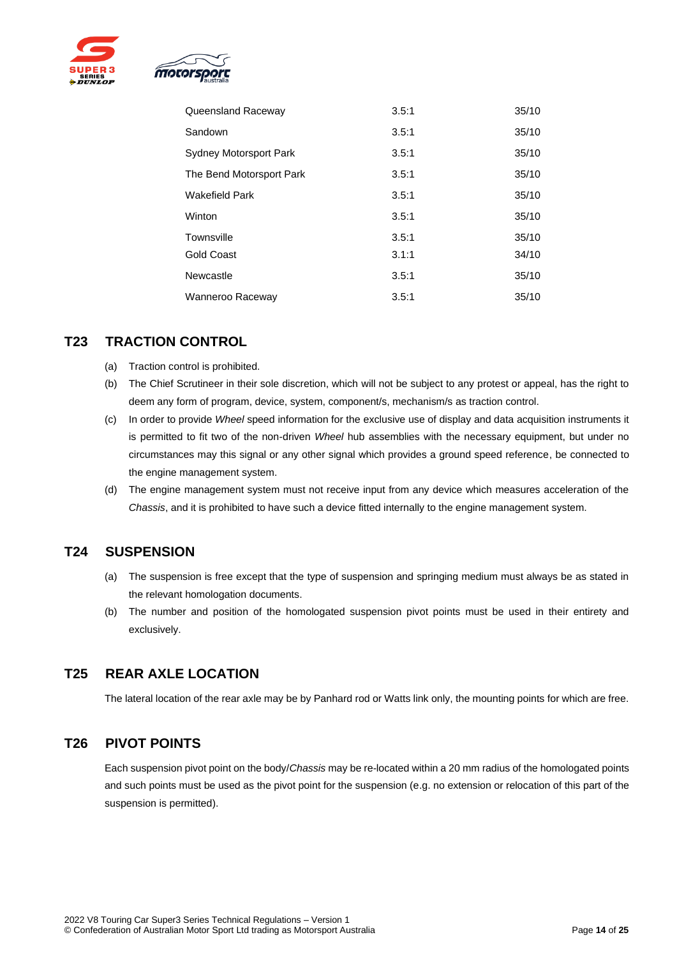



| Queensland Raceway            | 3.5:1 | 35/10 |
|-------------------------------|-------|-------|
| Sandown                       | 3.5:1 | 35/10 |
| <b>Sydney Motorsport Park</b> | 3.5:1 | 35/10 |
| The Bend Motorsport Park      | 3.5:1 | 35/10 |
| <b>Wakefield Park</b>         | 3.5:1 | 35/10 |
| Winton                        | 3.5:1 | 35/10 |
| Townsville                    | 3.5:1 | 35/10 |
| <b>Gold Coast</b>             | 3.1:1 | 34/10 |
| Newcastle                     | 3.5:1 | 35/10 |
| Wanneroo Raceway              | 3.5:1 | 35/10 |

# <span id="page-13-0"></span>**T23 TRACTION CONTROL**

- (a) Traction control is prohibited.
- (b) The Chief Scrutineer in their sole discretion, which will not be subject to any protest or appeal, has the right to deem any form of program, device, system, component/s, mechanism/s as traction control.
- (c) In order to provide *Wheel* speed information for the exclusive use of display and data acquisition instruments it is permitted to fit two of the non-driven *Wheel* hub assemblies with the necessary equipment, but under no circumstances may this signal or any other signal which provides a ground speed reference, be connected to the engine management system.
- (d) The engine management system must not receive input from any device which measures acceleration of the *Chassis*, and it is prohibited to have such a device fitted internally to the engine management system.

#### <span id="page-13-1"></span>**T24 SUSPENSION**

- (a) The suspension is free except that the type of suspension and springing medium must always be as stated in the relevant homologation documents.
- (b) The number and position of the homologated suspension pivot points must be used in their entirety and exclusively.

#### <span id="page-13-2"></span>**T25 REAR AXLE LOCATION**

The lateral location of the rear axle may be by Panhard rod or Watts link only, the mounting points for which are free.

#### <span id="page-13-3"></span>**T26 PIVOT POINTS**

Each suspension pivot point on the body/*Chassis* may be re-located within a 20 mm radius of the homologated points and such points must be used as the pivot point for the suspension (e.g. no extension or relocation of this part of the suspension is permitted).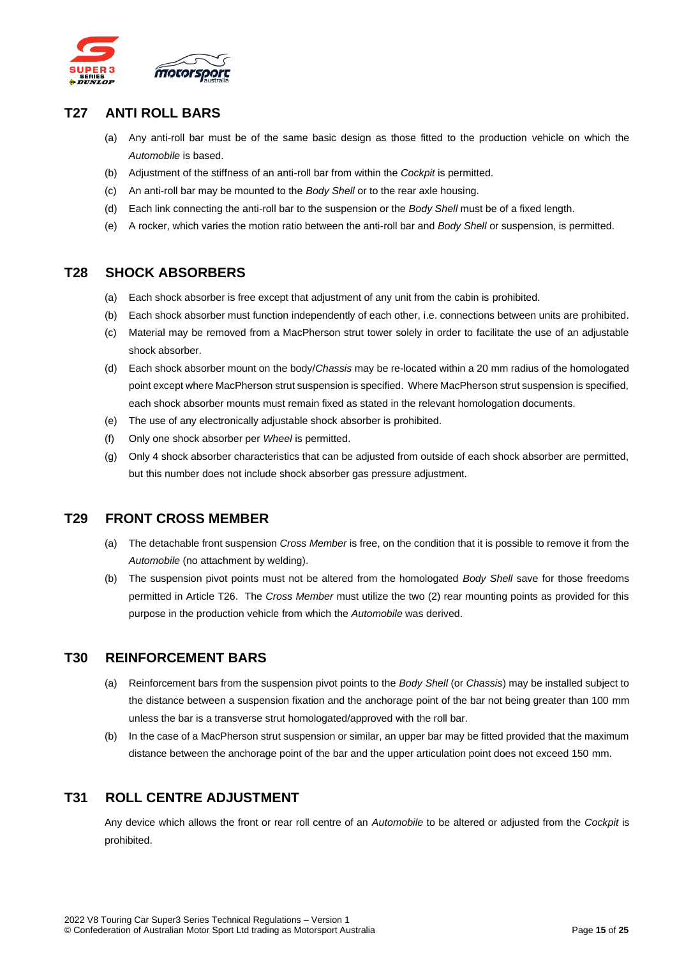

#### <span id="page-14-0"></span>**T27 ANTI ROLL BARS**

- (a) Any anti-roll bar must be of the same basic design as those fitted to the production vehicle on which the *Automobile* is based.
- (b) Adjustment of the stiffness of an anti-roll bar from within the *Cockpit* is permitted.
- (c) An anti-roll bar may be mounted to the *Body Shell* or to the rear axle housing.
- (d) Each link connecting the anti-roll bar to the suspension or the *Body Shell* must be of a fixed length.
- (e) A rocker, which varies the motion ratio between the anti-roll bar and *Body Shell* or suspension, is permitted.

#### <span id="page-14-1"></span>**T28 SHOCK ABSORBERS**

- (a) Each shock absorber is free except that adjustment of any unit from the cabin is prohibited.
- (b) Each shock absorber must function independently of each other, i.e. connections between units are prohibited.
- (c) Material may be removed from a MacPherson strut tower solely in order to facilitate the use of an adjustable shock absorber.
- (d) Each shock absorber mount on the body/*Chassis* may be re-located within a 20 mm radius of the homologated point except where MacPherson strut suspension is specified. Where MacPherson strut suspension is specified, each shock absorber mounts must remain fixed as stated in the relevant homologation documents.
- (e) The use of any electronically adjustable shock absorber is prohibited.
- (f) Only one shock absorber per *Wheel* is permitted.
- (g) Only 4 shock absorber characteristics that can be adjusted from outside of each shock absorber are permitted, but this number does not include shock absorber gas pressure adjustment.

#### <span id="page-14-2"></span>**T29 FRONT CROSS MEMBER**

- (a) The detachable front suspension *Cross Member* is free, on the condition that it is possible to remove it from the *Automobile* (no attachment by welding).
- (b) The suspension pivot points must not be altered from the homologated *Body Shell* save for those freedoms permitted in Article T26. The *Cross Member* must utilize the two (2) rear mounting points as provided for this purpose in the production vehicle from which the *Automobile* was derived.

#### <span id="page-14-3"></span>**T30 REINFORCEMENT BARS**

- (a) Reinforcement bars from the suspension pivot points to the *Body Shell* (or *Chassis*) may be installed subject to the distance between a suspension fixation and the anchorage point of the bar not being greater than 100 mm unless the bar is a transverse strut homologated/approved with the roll bar.
- (b) In the case of a MacPherson strut suspension or similar, an upper bar may be fitted provided that the maximum distance between the anchorage point of the bar and the upper articulation point does not exceed 150 mm.

# <span id="page-14-4"></span>**T31 ROLL CENTRE ADJUSTMENT**

Any device which allows the front or rear roll centre of an *Automobile* to be altered or adjusted from the *Cockpit* is prohibited.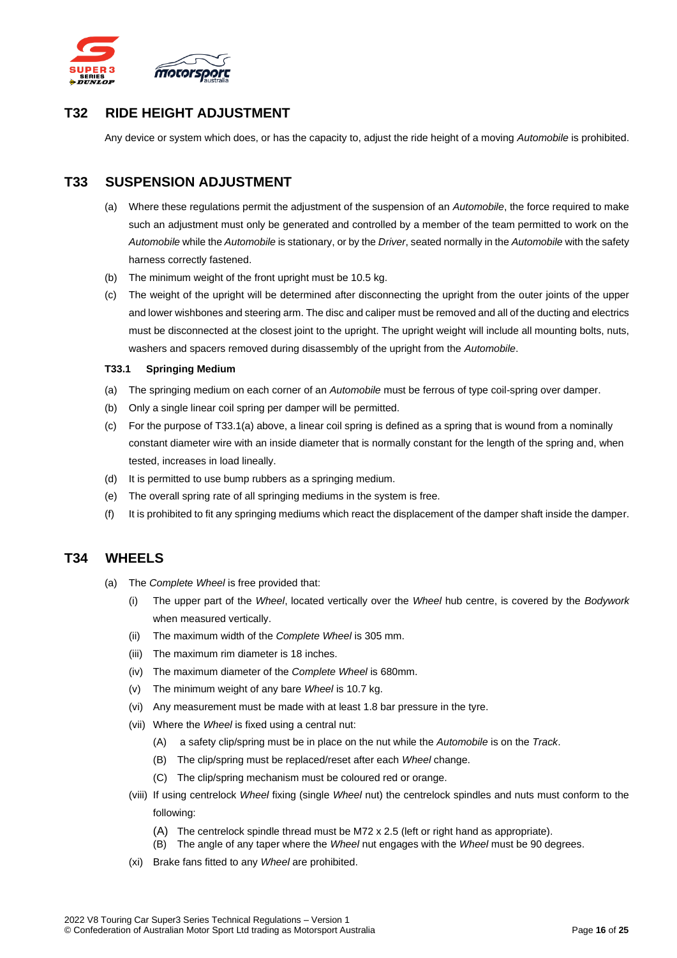

# <span id="page-15-0"></span>**T32 RIDE HEIGHT ADJUSTMENT**

Any device or system which does, or has the capacity to, adjust the ride height of a moving *Automobile* is prohibited.

### <span id="page-15-1"></span>**T33 SUSPENSION ADJUSTMENT**

- (a) Where these regulations permit the adjustment of the suspension of an *Automobile*, the force required to make such an adjustment must only be generated and controlled by a member of the team permitted to work on the *Automobile* while the *Automobile* is stationary, or by the *Driver*, seated normally in the *Automobile* with the safety harness correctly fastened.
- (b) The minimum weight of the front upright must be 10.5 kg.
- (c) The weight of the upright will be determined after disconnecting the upright from the outer joints of the upper and lower wishbones and steering arm. The disc and caliper must be removed and all of the ducting and electrics must be disconnected at the closest joint to the upright. The upright weight will include all mounting bolts, nuts, washers and spacers removed during disassembly of the upright from the *Automobile*.

#### <span id="page-15-2"></span>**T33.1 Springing Medium**

- (a) The springing medium on each corner of an *Automobile* must be ferrous of type coil-spring over damper.
- (b) Only a single linear coil spring per damper will be permitted.
- (c) For the purpose of T33.1(a) above, a linear coil spring is defined as a spring that is wound from a nominally constant diameter wire with an inside diameter that is normally constant for the length of the spring and, when tested, increases in load lineally.
- (d) It is permitted to use bump rubbers as a springing medium.
- (e) The overall spring rate of all springing mediums in the system is free.
- (f) It is prohibited to fit any springing mediums which react the displacement of the damper shaft inside the damper.

#### <span id="page-15-3"></span>**T34 WHEELS**

- (a) The *Complete Wheel* is free provided that:
	- (i) The upper part of the *Wheel*, located vertically over the *Wheel* hub centre, is covered by the *Bodywork* when measured vertically.
	- (ii) The maximum width of the *Complete Wheel* is 305 mm.
	- (iii) The maximum rim diameter is 18 inches.
	- (iv) The maximum diameter of the *Complete Wheel* is 680mm.
	- (v) The minimum weight of any bare *Wheel* is 10.7 kg.
	- (vi) Any measurement must be made with at least 1.8 bar pressure in the tyre.
	- (vii) Where the *Wheel* is fixed using a central nut:
		- (A) a safety clip/spring must be in place on the nut while the *Automobile* is on the *Track*.
		- (B) The clip/spring must be replaced/reset after each *Wheel* change.
		- (C) The clip/spring mechanism must be coloured red or orange.
	- (viii) If using centrelock *Wheel* fixing (single *Wheel* nut) the centrelock spindles and nuts must conform to the following:
		- (A) The centrelock spindle thread must be M72 x 2.5 (left or right hand as appropriate).
		- (B) The angle of any taper where the *Wheel* nut engages with the *Wheel* must be 90 degrees.
	- (xi) Brake fans fitted to any *Wheel* are prohibited.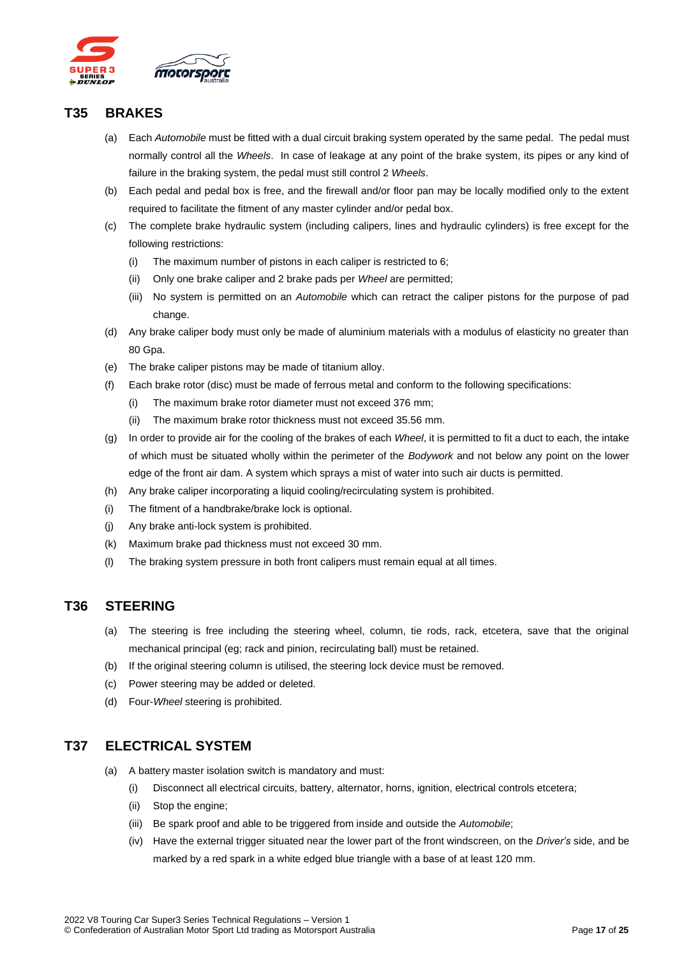

#### <span id="page-16-0"></span>**T35 BRAKES**

- (a) Each *Automobile* must be fitted with a dual circuit braking system operated by the same pedal. The pedal must normally control all the *Wheels*. In case of leakage at any point of the brake system, its pipes or any kind of failure in the braking system, the pedal must still control 2 *Wheels*.
- (b) Each pedal and pedal box is free, and the firewall and/or floor pan may be locally modified only to the extent required to facilitate the fitment of any master cylinder and/or pedal box.
- (c) The complete brake hydraulic system (including calipers, lines and hydraulic cylinders) is free except for the following restrictions:
	- (i) The maximum number of pistons in each caliper is restricted to 6;
	- (ii) Only one brake caliper and 2 brake pads per *Wheel* are permitted;
	- (iii) No system is permitted on an *Automobile* which can retract the caliper pistons for the purpose of pad change.
- (d) Any brake caliper body must only be made of aluminium materials with a modulus of elasticity no greater than 80 Gpa.
- (e) The brake caliper pistons may be made of titanium alloy.
- (f) Each brake rotor (disc) must be made of ferrous metal and conform to the following specifications:
	- (i) The maximum brake rotor diameter must not exceed 376 mm;
	- (ii) The maximum brake rotor thickness must not exceed 35.56 mm.
- (g) In order to provide air for the cooling of the brakes of each *Wheel*, it is permitted to fit a duct to each, the intake of which must be situated wholly within the perimeter of the *Bodywork* and not below any point on the lower edge of the front air dam. A system which sprays a mist of water into such air ducts is permitted.
- (h) Any brake caliper incorporating a liquid cooling/recirculating system is prohibited.
- (i) The fitment of a handbrake/brake lock is optional.
- (j) Any brake anti-lock system is prohibited.
- (k) Maximum brake pad thickness must not exceed 30 mm.
- (l) The braking system pressure in both front calipers must remain equal at all times.

#### <span id="page-16-1"></span>**T36 STEERING**

- (a) The steering is free including the steering wheel, column, tie rods, rack, etcetera, save that the original mechanical principal (eg; rack and pinion, recirculating ball) must be retained.
- (b) If the original steering column is utilised, the steering lock device must be removed.
- (c) Power steering may be added or deleted.
- (d) Four-*Wheel* steering is prohibited.

# <span id="page-16-2"></span>**T37 ELECTRICAL SYSTEM**

- (a) A battery master isolation switch is mandatory and must:
	- (i) Disconnect all electrical circuits, battery, alternator, horns, ignition, electrical controls etcetera;
	- (ii) Stop the engine;
	- (iii) Be spark proof and able to be triggered from inside and outside the *Automobile*;
	- (iv) Have the external trigger situated near the lower part of the front windscreen, on the *Driver's* side, and be marked by a red spark in a white edged blue triangle with a base of at least 120 mm.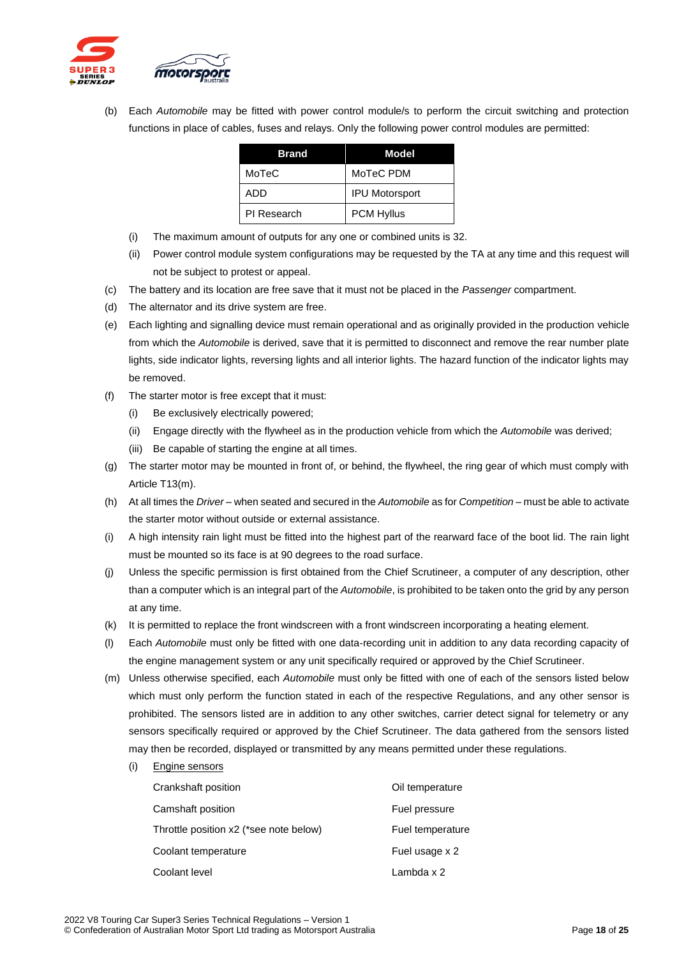

(b) Each *Automobile* may be fitted with power control module/s to perform the circuit switching and protection functions in place of cables, fuses and relays. Only the following power control modules are permitted:

| <b>Brand</b> | Model                 |
|--------------|-----------------------|
| MoTeC        | MoTeC PDM             |
| ADD          | <b>IPU Motorsport</b> |
| PI Research  | <b>PCM Hyllus</b>     |

- (i) The maximum amount of outputs for any one or combined units is 32.
- (ii) Power control module system configurations may be requested by the TA at any time and this request will not be subject to protest or appeal.
- (c) The battery and its location are free save that it must not be placed in the *Passenger* compartment.
- (d) The alternator and its drive system are free.
- (e) Each lighting and signalling device must remain operational and as originally provided in the production vehicle from which the *Automobile* is derived, save that it is permitted to disconnect and remove the rear number plate lights, side indicator lights, reversing lights and all interior lights. The hazard function of the indicator lights may be removed.
- (f) The starter motor is free except that it must:
	- (i) Be exclusively electrically powered;
	- (ii) Engage directly with the flywheel as in the production vehicle from which the *Automobile* was derived;
	- (iii) Be capable of starting the engine at all times.
- (g) The starter motor may be mounted in front of, or behind, the flywheel, the ring gear of which must comply with Article T13(m).
- (h) At all times the *Driver* when seated and secured in the *Automobile* as for *Competition* must be able to activate the starter motor without outside or external assistance.
- (i) A high intensity rain light must be fitted into the highest part of the rearward face of the boot lid. The rain light must be mounted so its face is at 90 degrees to the road surface.
- (j) Unless the specific permission is first obtained from the Chief Scrutineer, a computer of any description, other than a computer which is an integral part of the *Automobile*, is prohibited to be taken onto the grid by any person at any time.
- (k) It is permitted to replace the front windscreen with a front windscreen incorporating a heating element.
- (l) Each *Automobile* must only be fitted with one data-recording unit in addition to any data recording capacity of the engine management system or any unit specifically required or approved by the Chief Scrutineer.
- (m) Unless otherwise specified, each *Automobile* must only be fitted with one of each of the sensors listed below which must only perform the function stated in each of the respective Regulations, and any other sensor is prohibited. The sensors listed are in addition to any other switches, carrier detect signal for telemetry or any sensors specifically required or approved by the Chief Scrutineer. The data gathered from the sensors listed may then be recorded, displayed or transmitted by any means permitted under these regulations.
	- (i) Engine sensors

| Crankshaft position                    | Oil temperature  |
|----------------------------------------|------------------|
| Camshaft position                      | Fuel pressure    |
| Throttle position x2 (*see note below) | Fuel temperature |
| Coolant temperature                    | Fuel usage x 2   |
| Coolant level                          | Lambda x 2       |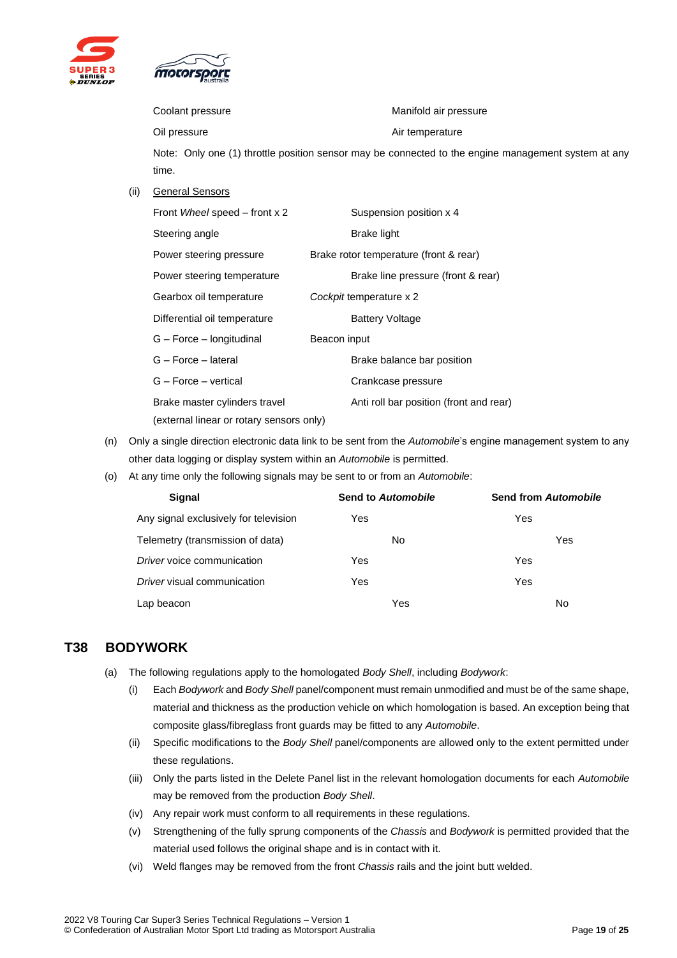

Coolant pressure **Manifold** air pressure

Oil pressure **Air temperature** Air temperature

Note: Only one (1) throttle position sensor may be connected to the engine management system at any time.

(ii) General Sensors

| Front Wheel speed – front x 2                                             | Suspension position x 4                 |
|---------------------------------------------------------------------------|-----------------------------------------|
| Steering angle                                                            | Brake light                             |
| Power steering pressure                                                   | Brake rotor temperature (front & rear)  |
| Power steering temperature                                                | Brake line pressure (front & rear)      |
| Gearbox oil temperature                                                   | Cockpit temperature x 2                 |
| Differential oil temperature                                              | <b>Battery Voltage</b>                  |
| G – Force – longitudinal                                                  | Beacon input                            |
| G - Force - lateral                                                       | Brake balance bar position              |
| G - Force - vertical                                                      | Crankcase pressure                      |
| Brake master cylinders travel<br>(external linear or rotary sensors only) | Anti roll bar position (front and rear) |

- (n) Only a single direction electronic data link to be sent from the *Automobile*'s engine management system to any other data logging or display system within an *Automobile* is permitted.
- (o) At any time only the following signals may be sent to or from an *Automobile*:

| <b>Signal</b>                         | <b>Send to Automobile</b> | <b>Send from Automobile</b> |
|---------------------------------------|---------------------------|-----------------------------|
| Any signal exclusively for television | Yes                       | Yes                         |
| Telemetry (transmission of data)      | No                        | Yes                         |
| Driver voice communication            | Yes                       | Yes                         |
| Driver visual communication           | Yes                       | Yes                         |
| Lap beacon                            | Yes                       | No                          |

#### <span id="page-18-0"></span>**T38 BODYWORK**

- (a) The following regulations apply to the homologated *Body Shell*, including *Bodywork*:
	- (i) Each *Bodywork* and *Body Shell* panel/component must remain unmodified and must be of the same shape, material and thickness as the production vehicle on which homologation is based. An exception being that composite glass/fibreglass front guards may be fitted to any *Automobile*.
	- (ii) Specific modifications to the *Body Shell* panel/components are allowed only to the extent permitted under these regulations.
	- (iii) Only the parts listed in the Delete Panel list in the relevant homologation documents for each *Automobile* may be removed from the production *Body Shell*.
	- (iv) Any repair work must conform to all requirements in these regulations.
	- (v) Strengthening of the fully sprung components of the *Chassis* and *Bodywork* is permitted provided that the material used follows the original shape and is in contact with it.
	- (vi) Weld flanges may be removed from the front *Chassis* rails and the joint butt welded.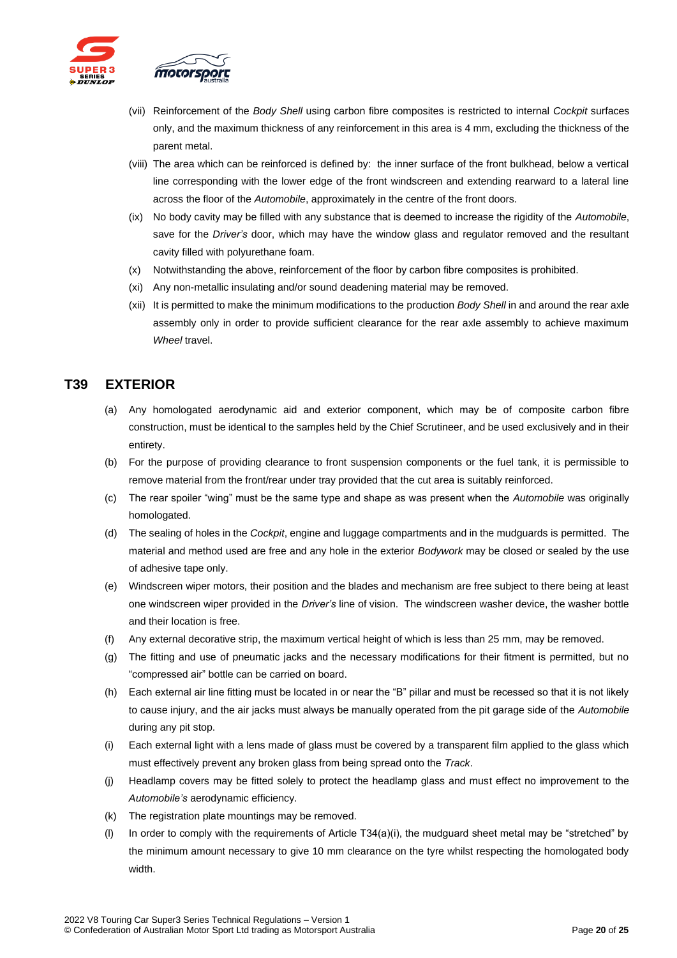

- (vii) Reinforcement of the *Body Shell* using carbon fibre composites is restricted to internal *Cockpit* surfaces only, and the maximum thickness of any reinforcement in this area is 4 mm, excluding the thickness of the parent metal.
- (viii) The area which can be reinforced is defined by: the inner surface of the front bulkhead, below a vertical line corresponding with the lower edge of the front windscreen and extending rearward to a lateral line across the floor of the *Automobile*, approximately in the centre of the front doors.
- (ix) No body cavity may be filled with any substance that is deemed to increase the rigidity of the *Automobile*, save for the *Driver's* door, which may have the window glass and regulator removed and the resultant cavity filled with polyurethane foam.
- (x) Notwithstanding the above, reinforcement of the floor by carbon fibre composites is prohibited.
- (xi) Any non-metallic insulating and/or sound deadening material may be removed.
- (xii) It is permitted to make the minimum modifications to the production *Body Shell* in and around the rear axle assembly only in order to provide sufficient clearance for the rear axle assembly to achieve maximum *Wheel* travel.

# <span id="page-19-0"></span>**T39 EXTERIOR**

- (a) Any homologated aerodynamic aid and exterior component, which may be of composite carbon fibre construction, must be identical to the samples held by the Chief Scrutineer, and be used exclusively and in their entirety.
- (b) For the purpose of providing clearance to front suspension components or the fuel tank, it is permissible to remove material from the front/rear under tray provided that the cut area is suitably reinforced.
- (c) The rear spoiler "wing" must be the same type and shape as was present when the *Automobile* was originally homologated.
- (d) The sealing of holes in the *Cockpit*, engine and luggage compartments and in the mudguards is permitted. The material and method used are free and any hole in the exterior *Bodywork* may be closed or sealed by the use of adhesive tape only.
- (e) Windscreen wiper motors, their position and the blades and mechanism are free subject to there being at least one windscreen wiper provided in the *Driver's* line of vision. The windscreen washer device, the washer bottle and their location is free.
- (f) Any external decorative strip, the maximum vertical height of which is less than 25 mm, may be removed.
- (g) The fitting and use of pneumatic jacks and the necessary modifications for their fitment is permitted, but no "compressed air" bottle can be carried on board.
- (h) Each external air line fitting must be located in or near the "B" pillar and must be recessed so that it is not likely to cause injury, and the air jacks must always be manually operated from the pit garage side of the *Automobile* during any pit stop.
- (i) Each external light with a lens made of glass must be covered by a transparent film applied to the glass which must effectively prevent any broken glass from being spread onto the *Track*.
- (j) Headlamp covers may be fitted solely to protect the headlamp glass and must effect no improvement to the *Automobile's* aerodynamic efficiency.
- (k) The registration plate mountings may be removed.
- (l) In order to comply with the requirements of Article T34(a)(i), the mudguard sheet metal may be "stretched" by the minimum amount necessary to give 10 mm clearance on the tyre whilst respecting the homologated body width.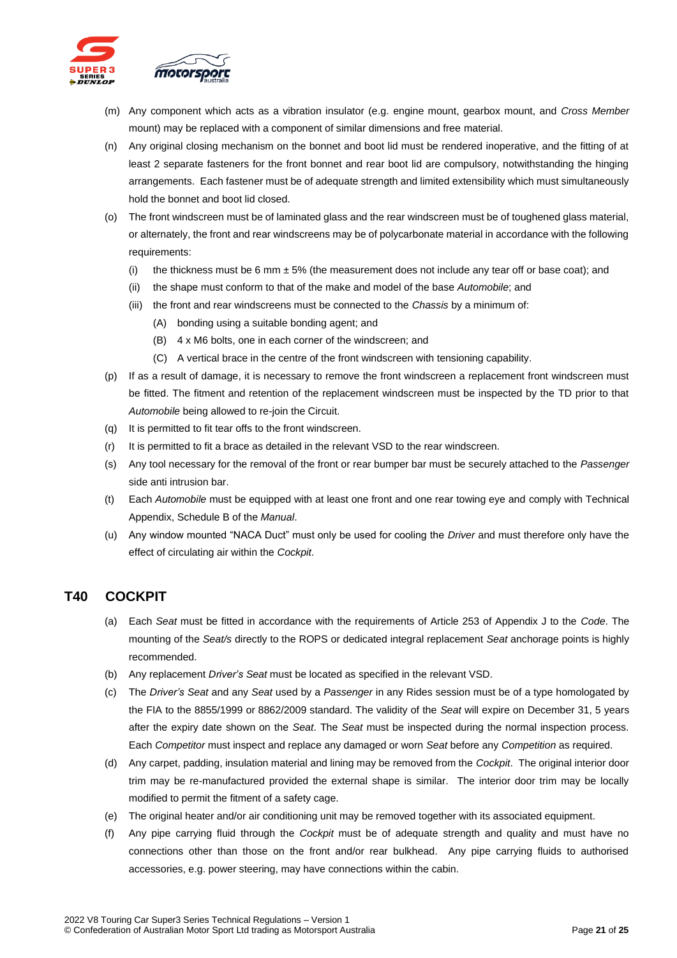

- (m) Any component which acts as a vibration insulator (e.g. engine mount, gearbox mount, and *Cross Member* mount) may be replaced with a component of similar dimensions and free material.
- (n) Any original closing mechanism on the bonnet and boot lid must be rendered inoperative, and the fitting of at least 2 separate fasteners for the front bonnet and rear boot lid are compulsory, notwithstanding the hinging arrangements. Each fastener must be of adequate strength and limited extensibility which must simultaneously hold the bonnet and boot lid closed.
- (o) The front windscreen must be of laminated glass and the rear windscreen must be of toughened glass material, or alternately, the front and rear windscreens may be of polycarbonate material in accordance with the following requirements:
	- (i) the thickness must be 6 mm  $\pm$  5% (the measurement does not include any tear off or base coat); and
	- (ii) the shape must conform to that of the make and model of the base *Automobile*; and
	- (iii) the front and rear windscreens must be connected to the *Chassis* by a minimum of:
		- (A) bonding using a suitable bonding agent; and
		- (B) 4 x M6 bolts, one in each corner of the windscreen; and
		- (C) A vertical brace in the centre of the front windscreen with tensioning capability.
- (p) If as a result of damage, it is necessary to remove the front windscreen a replacement front windscreen must be fitted. The fitment and retention of the replacement windscreen must be inspected by the TD prior to that *Automobile* being allowed to re-join the Circuit.
- (q) It is permitted to fit tear offs to the front windscreen.
- (r) It is permitted to fit a brace as detailed in the relevant VSD to the rear windscreen.
- (s) Any tool necessary for the removal of the front or rear bumper bar must be securely attached to the *Passenger* side anti intrusion bar.
- (t) Each *Automobile* must be equipped with at least one front and one rear towing eye and comply with Technical Appendix, Schedule B of the *Manual*.
- (u) Any window mounted "NACA Duct" must only be used for cooling the *Driver* and must therefore only have the effect of circulating air within the *Cockpit*.

#### <span id="page-20-0"></span>**T40 COCKPIT**

- (a) Each *Seat* must be fitted in accordance with the requirements of Article 253 of Appendix J to the *Code*. The mounting of the *Seat/s* directly to the ROPS or dedicated integral replacement *Seat* anchorage points is highly recommended.
- (b) Any replacement *Driver's Seat* must be located as specified in the relevant VSD.
- (c) The *Driver's Seat* and any *Seat* used by a *Passenger* in any Rides session must be of a type homologated by the FIA to the 8855/1999 or 8862/2009 standard. The validity of the *Seat* will expire on December 31, 5 years after the expiry date shown on the *Seat*. The *Seat* must be inspected during the normal inspection process. Each *Competitor* must inspect and replace any damaged or worn *Seat* before any *Competition* as required.
- (d) Any carpet, padding, insulation material and lining may be removed from the *Cockpit*. The original interior door trim may be re-manufactured provided the external shape is similar. The interior door trim may be locally modified to permit the fitment of a safety cage.
- (e) The original heater and/or air conditioning unit may be removed together with its associated equipment.
- (f) Any pipe carrying fluid through the *Cockpit* must be of adequate strength and quality and must have no connections other than those on the front and/or rear bulkhead. Any pipe carrying fluids to authorised accessories, e.g. power steering, may have connections within the cabin.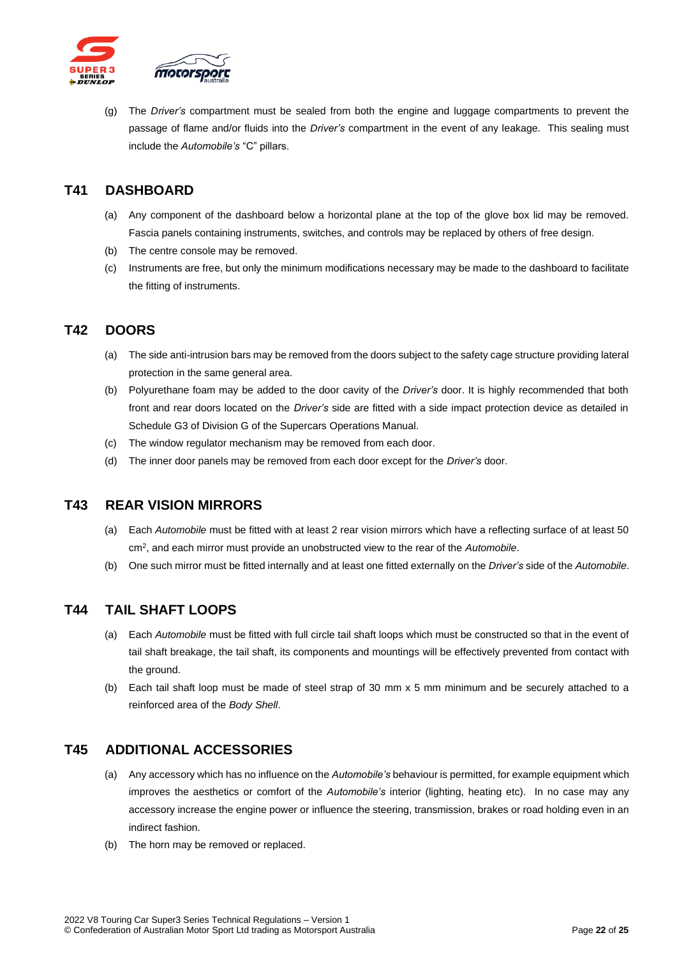

(g) The *Driver's* compartment must be sealed from both the engine and luggage compartments to prevent the passage of flame and/or fluids into the *Driver's* compartment in the event of any leakage. This sealing must include the *Automobile's* "C" pillars.

### <span id="page-21-0"></span>**T41 DASHBOARD**

- (a) Any component of the dashboard below a horizontal plane at the top of the glove box lid may be removed. Fascia panels containing instruments, switches, and controls may be replaced by others of free design.
- (b) The centre console may be removed.
- (c) Instruments are free, but only the minimum modifications necessary may be made to the dashboard to facilitate the fitting of instruments.

# <span id="page-21-1"></span>**T42 DOORS**

- (a) The side anti-intrusion bars may be removed from the doors subject to the safety cage structure providing lateral protection in the same general area.
- (b) Polyurethane foam may be added to the door cavity of the *Driver's* door. It is highly recommended that both front and rear doors located on the *Driver's* side are fitted with a side impact protection device as detailed in Schedule G3 of Division G of the Supercars Operations Manual.
- (c) The window regulator mechanism may be removed from each door.
- (d) The inner door panels may be removed from each door except for the *Driver's* door.

#### <span id="page-21-2"></span>**T43 REAR VISION MIRRORS**

- (a) Each *Automobile* must be fitted with at least 2 rear vision mirrors which have a reflecting surface of at least 50 cm<sup>2</sup>, and each mirror must provide an unobstructed view to the rear of the Automobile.
- (b) One such mirror must be fitted internally and at least one fitted externally on the *Driver's* side of the *Automobile*.

#### <span id="page-21-3"></span>**T44 TAIL SHAFT LOOPS**

- (a) Each *Automobile* must be fitted with full circle tail shaft loops which must be constructed so that in the event of tail shaft breakage, the tail shaft, its components and mountings will be effectively prevented from contact with the ground.
- (b) Each tail shaft loop must be made of steel strap of 30 mm x 5 mm minimum and be securely attached to a reinforced area of the *Body Shell*.

#### <span id="page-21-4"></span>**T45 ADDITIONAL ACCESSORIES**

- (a) Any accessory which has no influence on the *Automobile's* behaviour is permitted, for example equipment which improves the aesthetics or comfort of the *Automobile's* interior (lighting, heating etc). In no case may any accessory increase the engine power or influence the steering, transmission, brakes or road holding even in an indirect fashion.
- (b) The horn may be removed or replaced.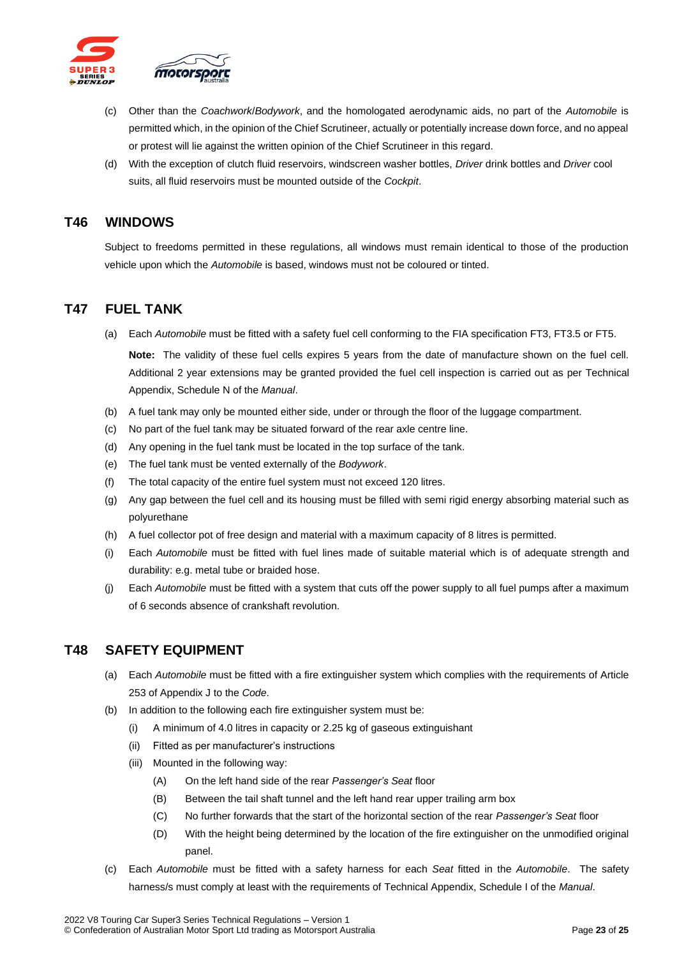

- (c) Other than the *Coachwork*/*Bodywork*, and the homologated aerodynamic aids, no part of the *Automobile* is permitted which, in the opinion of the Chief Scrutineer, actually or potentially increase down force, and no appeal or protest will lie against the written opinion of the Chief Scrutineer in this regard.
- (d) With the exception of clutch fluid reservoirs, windscreen washer bottles, *Driver* drink bottles and *Driver* cool suits, all fluid reservoirs must be mounted outside of the *Cockpit*.

#### <span id="page-22-0"></span>**T46 WINDOWS**

Subject to freedoms permitted in these regulations, all windows must remain identical to those of the production vehicle upon which the *Automobile* is based, windows must not be coloured or tinted.

#### <span id="page-22-1"></span>**T47 FUEL TANK**

(a) Each *Automobile* must be fitted with a safety fuel cell conforming to the FIA specification FT3, FT3.5 or FT5.

**Note:** The validity of these fuel cells expires 5 years from the date of manufacture shown on the fuel cell. Additional 2 year extensions may be granted provided the fuel cell inspection is carried out as per Technical Appendix, Schedule N of the *Manual*.

- (b) A fuel tank may only be mounted either side, under or through the floor of the luggage compartment.
- (c) No part of the fuel tank may be situated forward of the rear axle centre line.
- (d) Any opening in the fuel tank must be located in the top surface of the tank.
- (e) The fuel tank must be vented externally of the *Bodywork*.
- (f) The total capacity of the entire fuel system must not exceed 120 litres.
- (g) Any gap between the fuel cell and its housing must be filled with semi rigid energy absorbing material such as polyurethane
- (h) A fuel collector pot of free design and material with a maximum capacity of 8 litres is permitted.
- (i) Each *Automobile* must be fitted with fuel lines made of suitable material which is of adequate strength and durability: e.g. metal tube or braided hose.
- (j) Each *Automobile* must be fitted with a system that cuts off the power supply to all fuel pumps after a maximum of 6 seconds absence of crankshaft revolution.

#### <span id="page-22-2"></span>**T48 SAFETY EQUIPMENT**

- (a) Each *Automobile* must be fitted with a fire extinguisher system which complies with the requirements of Article 253 of Appendix J to the *Code*.
- (b) In addition to the following each fire extinguisher system must be:
	- (i) A minimum of 4.0 litres in capacity or 2.25 kg of gaseous extinguishant
	- (ii) Fitted as per manufacturer's instructions
	- (iii) Mounted in the following way:
		- (A) On the left hand side of the rear *Passenger's Seat* floor
		- (B) Between the tail shaft tunnel and the left hand rear upper trailing arm box
		- (C) No further forwards that the start of the horizontal section of the rear *Passenger's Seat* floor
		- (D) With the height being determined by the location of the fire extinguisher on the unmodified original panel.
- (c) Each *Automobile* must be fitted with a safety harness for each *Seat* fitted in the *Automobile*. The safety harness/s must comply at least with the requirements of Technical Appendix, Schedule I of the *Manual*.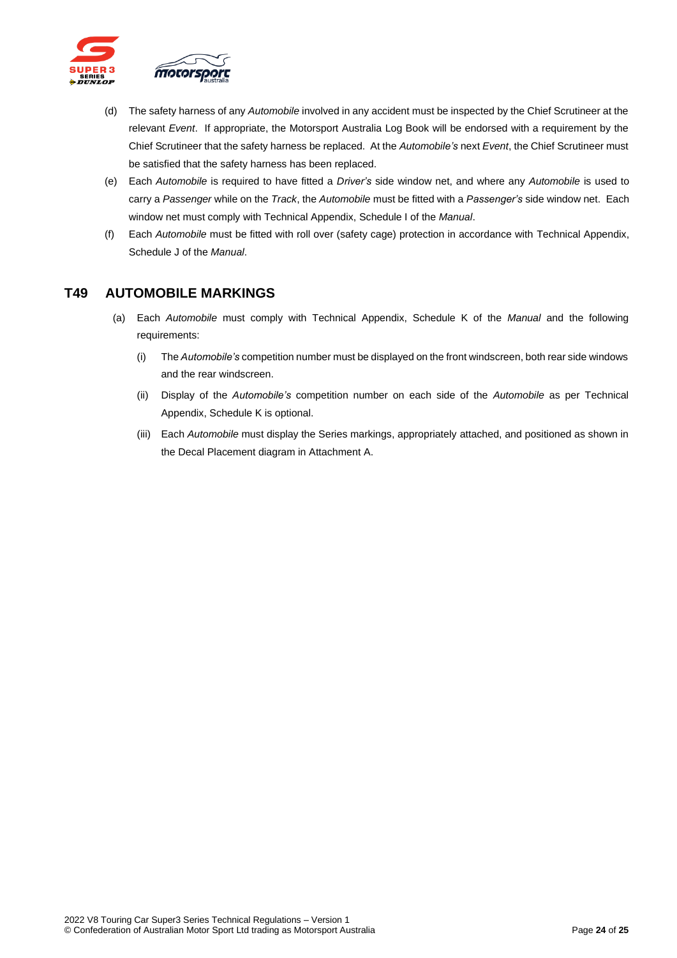

- (d) The safety harness of any *Automobile* involved in any accident must be inspected by the Chief Scrutineer at the relevant *Event*. If appropriate, the Motorsport Australia Log Book will be endorsed with a requirement by the Chief Scrutineer that the safety harness be replaced. At the *Automobile's* next *Event*, the Chief Scrutineer must be satisfied that the safety harness has been replaced.
- (e) Each *Automobile* is required to have fitted a *Driver's* side window net, and where any *Automobile* is used to carry a *Passenger* while on the *Track*, the *Automobile* must be fitted with a *Passenger's* side window net. Each window net must comply with Technical Appendix, Schedule I of the *Manual*.
- (f) Each *Automobile* must be fitted with roll over (safety cage) protection in accordance with Technical Appendix, Schedule J of the *Manual*.

#### <span id="page-23-0"></span>**T49 AUTOMOBILE MARKINGS**

- (a) Each *Automobile* must comply with Technical Appendix, Schedule K of the *Manual* and the following requirements:
	- (i) The *Automobile's* competition number must be displayed on the front windscreen, both rear side windows and the rear windscreen.
	- (ii) Display of the *Automobile's* competition number on each side of the *Automobile* as per Technical Appendix, Schedule K is optional.
	- (iii) Each *Automobile* must display the Series markings, appropriately attached, and positioned as shown in the Decal Placement diagram in Attachment A.